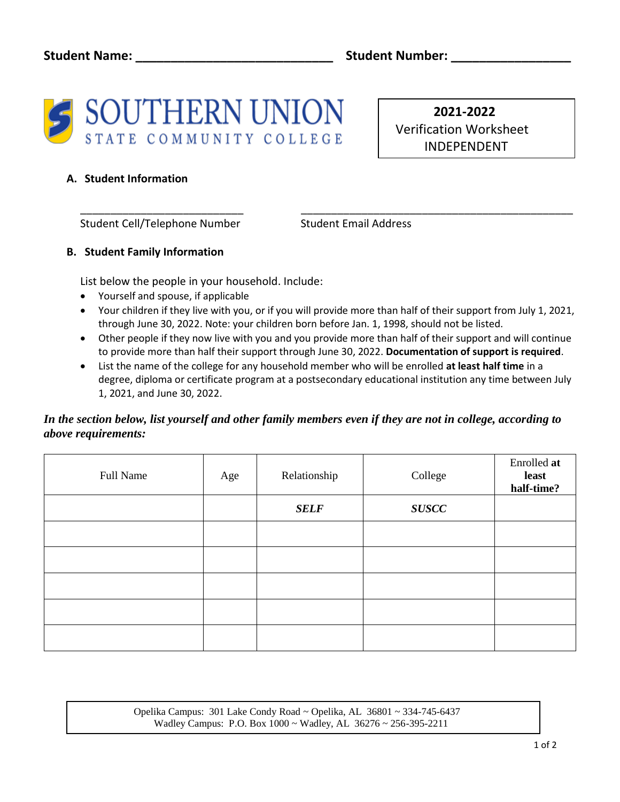

 **2021-2022**  Verification Worksheet INDEPENDENT

## **A. Student Information**

Student Cell/Telephone Number Student Email Address

## **B. Student Family Information**

List below the people in your household. Include:

- Yourself and spouse, if applicable
- Your children if they live with you, or if you will provide more than half of their support from July 1, 2021, through June 30, 2022. Note: your children born before Jan. 1, 1998, should not be listed.

\_\_\_\_\_\_\_\_\_\_\_\_\_\_\_\_\_\_\_\_\_\_\_\_\_\_\_ \_\_\_\_\_\_\_\_\_\_\_\_\_\_\_\_\_\_\_\_\_\_\_\_\_\_\_\_\_\_\_\_\_\_\_\_\_\_\_\_\_\_\_\_\_

- Other people if they now live with you and you provide more than half of their support and will continue to provide more than half their support through June 30, 2022. **Documentation of support is required**.
- List the name of the college for any household member who will be enrolled **at least half time** in a degree, diploma or certificate program at a postsecondary educational institution any time between July 1, 2021, and June 30, 2022.

## *In the section below, list yourself and other family members even if they are not in college, according to above requirements:*

| Full Name | Age | Relationship | College      | Enrolled at<br>least<br>half-time? |
|-----------|-----|--------------|--------------|------------------------------------|
|           |     | <b>SELF</b>  | <b>SUSCC</b> |                                    |
|           |     |              |              |                                    |
|           |     |              |              |                                    |
|           |     |              |              |                                    |
|           |     |              |              |                                    |
|           |     |              |              |                                    |

 Opelika Campus: 301 Lake Condy Road ~ Opelika, AL 36801 ~ 334-745-6437 Wadley Campus: P.O. Box 1000 ~ Wadley, AL 36276 ~ 256-395-2211